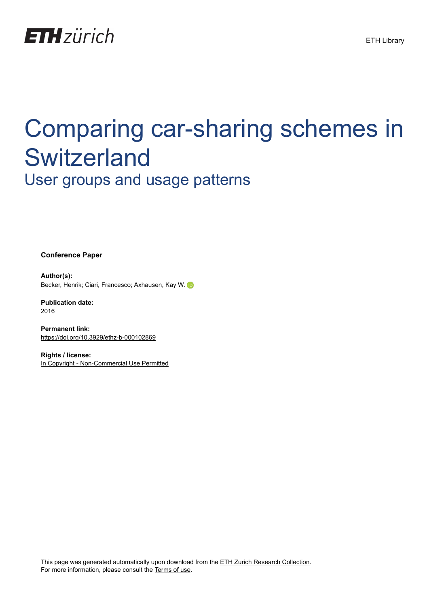

# Comparing car-sharing schemes in **Switzerland** User groups and usage patterns

**Conference Paper**

**Author(s):** Becker, Henrik; Ciari, Francesco; [Axhausen, Kay W.](https://orcid.org/0000-0003-3331-1318) iD

**Publication date:** 2016

**Permanent link:** <https://doi.org/10.3929/ethz-b-000102869>

**Rights / license:** [In Copyright - Non-Commercial Use Permitted](http://rightsstatements.org/page/InC-NC/1.0/)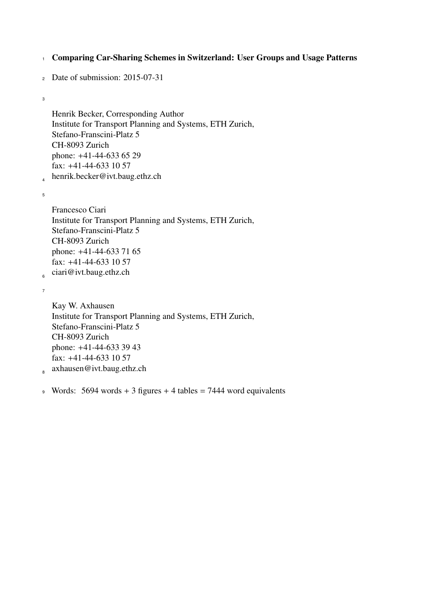<sup>1</sup> Comparing Car-Sharing Schemes in Switzerland: User Groups and Usage Patterns

```
2 Date of submission: 2015-07-31
```
3

Henrik Becker, Corresponding Author Institute for Transport Planning and Systems, ETH Zurich, Stefano-Franscini-Platz 5 CH-8093 Zurich phone: +41-44-633 65 29 fax: +41-44-633 10 57 henrik.becker@ivt.baug.ethz.ch

5

4

Francesco Ciari Institute for Transport Planning and Systems, ETH Zurich, Stefano-Franscini-Platz 5 CH-8093 Zurich phone: +41-44-633 71 65 fax: +41-44-633 10 57 ciari@ivt.baug.ethz.ch

7

 $\epsilon$ 

Kay W. Axhausen Institute for Transport Planning and Systems, ETH Zurich, Stefano-Franscini-Platz 5 CH-8093 Zurich phone: +41-44-633 39 43 fax: +41-44-633 10 57

axhausen@ivt.baug.ethz.ch  $\overline{R}$ 

9 Words: 5694 words + 3 figures + 4 tables = 7444 word equivalents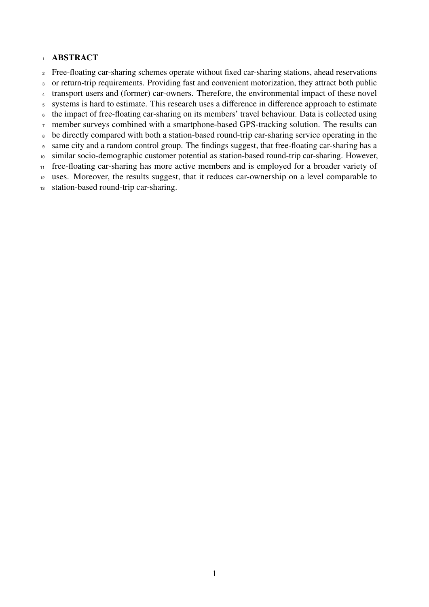### ABSTRACT

- Free-floating car-sharing schemes operate without fixed car-sharing stations, ahead reservations
- or return-trip requirements. Providing fast and convenient motorization, they attract both public
- transport users and (former) car-owners. Therefore, the environmental impact of these novel
- systems is hard to estimate. This research uses a difference in difference approach to estimate
- the impact of free-floating car-sharing on its members' travel behaviour. Data is collected using
- member surveys combined with a smartphone-based GPS-tracking solution. The results can
- be directly compared with both a station-based round-trip car-sharing service operating in the
- same city and a random control group. The findings suggest, that free-floating car-sharing has a
- similar socio-demographic customer potential as station-based round-trip car-sharing. However,
- free-floating car-sharing has more active members and is employed for a broader variety of
- uses. Moreover, the results suggest, that it reduces car-ownership on a level comparable to
- station-based round-trip car-sharing.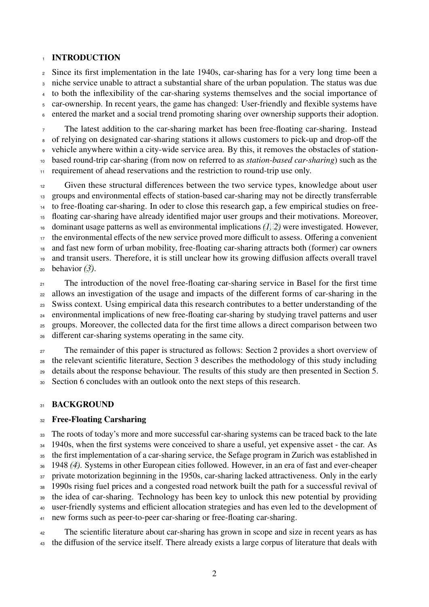### **INTRODUCTION**

 Since its first implementation in the late 1940s, car-sharing has for a very long time been a niche service unable to attract a substantial share of the urban population. The status was due to both the inflexibility of the car-sharing systems themselves and the social importance of car-ownership. In recent years, the game has changed: User-friendly and flexible systems have entered the market and a social trend promoting sharing over ownership supports their adoption.

 The latest addition to the car-sharing market has been free-floating car-sharing. Instead of relying on designated car-sharing stations it allows customers to pick-up and drop-off the vehicle anywhere within a city-wide service area. By this, it removes the obstacles of station- based round-trip car-sharing (from now on referred to as *station-based car-sharing*) such as the <sup>11</sup> requirement of ahead reservations and the restriction to round-trip use only.

 Given these structural differences between the two service types, knowledge about user groups and environmental effects of station-based car-sharing may not be directly transferrable to free-floating car-sharing. In oder to close this research gap, a few empirical studies on free- floating car-sharing have already identified major user groups and their motivations. Moreover, dominant usage patterns as well as environmental implications *[\(1,](#page-17-0) [2\)](#page-17-1)* were investigated. However, the environmental effects of the new service proved more difficult to assess. Offering a convenient and fast new form of urban mobility, free-floating car-sharing attracts both (former) car owners and transit users. Therefore, it is still unclear how its growing diffusion affects overall travel behavior *[\(3\)](#page-17-2)*.

<sup>21</sup> The introduction of the novel free-floating car-sharing service in Basel for the first time allows an investigation of the usage and impacts of the different forms of car-sharing in the Swiss context. Using empirical data this research contributes to a better understanding of the environmental implications of new free-floating car-sharing by studying travel patterns and user groups. Moreover, the collected data for the first time allows a direct comparison between two different car-sharing systems operating in the same city.

 The remainder of this paper is structured as follows: Section 2 provides a short overview of the relevant scientific literature, Section 3 describes the methodology of this study including details about the response behaviour. The results of this study are then presented in Section 5. Section 6 concludes with an outlook onto the next steps of this research.

### 31 BACKGROUND

### Free-Floating Carsharing

<sup>33</sup> The roots of today's more and more successful car-sharing systems can be traced back to the late 1940s, when the first systems were conceived to share a useful, yet expensive asset - the car. As the first implementation of a car-sharing service, the Sefage program in Zurich was established in 1948 *[\(4\)](#page-17-3)*. Systems in other European cities followed. However, in an era of fast and ever-cheaper 37 private motorization beginning in the 1950s, car-sharing lacked attractiveness. Only in the early 1990s rising fuel prices and a congested road network built the path for a successful revival of the idea of car-sharing. Technology has been key to unlock this new potential by providing user-friendly systems and efficient allocation strategies and has even led to the development of new forms such as peer-to-peer car-sharing or free-floating car-sharing.

<sup>42</sup> The scientific literature about car-sharing has grown in scope and size in recent years as has the diffusion of the service itself. There already exists a large corpus of literature that deals with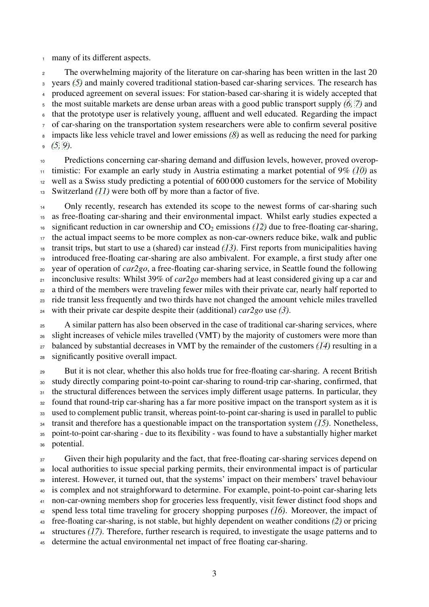many of its different aspects.

 The overwhelming majority of the literature on car-sharing has been written in the last 20 years *[\(5\)](#page-17-4)* and mainly covered traditional station-based car-sharing services. The research has produced agreement on several issues: For station-based car-sharing it is widely accepted that the most suitable markets are dense urban areas with a good public transport supply *[\(6,](#page-17-5) [7\)](#page-17-6)* and that the prototype user is relatively young, affluent and well educated. Regarding the impact of car-sharing on the transportation system researchers were able to confirm several positive impacts like less vehicle travel and lower emissions *[\(8\)](#page-17-7)* as well as reducing the need for parking *[\(5,](#page-17-4) [9\)](#page-17-8)*.

 Predictions concerning car-sharing demand and diffusion levels, however, proved overop- timistic: For example an early study in Austria estimating a market potential of 9% *[\(10\)](#page-17-9)* as well as a Swiss study predicting a potential of 600 000 customers for the service of Mobility Switzerland *[\(11\)](#page-17-10)* were both off by more than a factor of five.

<sup>14</sup> Only recently, research has extended its scope to the newest forms of car-sharing such as free-floating car-sharing and their environmental impact. Whilst early studies expected a <sup>16</sup> significant reduction in car ownership and  $CO<sub>2</sub>$  emissions *[\(12\)](#page-17-11)* due to free-floating car-sharing, the actual impact seems to be more complex as non-car-owners reduce bike, walk and public transit trips, but start to use a (shared) car instead *[\(13\)](#page-17-12)*. First reports from municipalities having introduced free-floating car-sharing are also ambivalent. For example, a first study after one year of operation of *car2go*, a free-floating car-sharing service, in Seattle found the following inconclusive results: Whilst 39% of *car2go* members had at least considered giving up a car and a third of the members were traveling fewer miles with their private car, nearly half reported to ride transit less frequently and two thirds have not changed the amount vehicle miles travelled with their private car despite despite their (additional) *car2go* use *[\(3\)](#page-17-2)*.

<sup>25</sup> A similar pattern has also been observed in the case of traditional car-sharing services, where slight increases of vehicle miles travelled (VMT) by the majority of customers were more than balanced by substantial decreases in VMT by the remainder of the customers *[\(14\)](#page-17-13)* resulting in a significantly positive overall impact.

 But it is not clear, whether this also holds true for free-floating car-sharing. A recent British study directly comparing point-to-point car-sharing to round-trip car-sharing, confirmed, that the structural differences between the services imply different usage patterns. In particular, they found that round-trip car-sharing has a far more positive impact on the transport system as it is used to complement public transit, whereas point-to-point car-sharing is used in parallel to public transit and therefore has a questionable impact on the transportation system *[\(15\)](#page-18-0)*. Nonetheless, point-to-point car-sharing - due to its flexibility - was found to have a substantially higher market potential.

<sup>37</sup> Given their high popularity and the fact, that free-floating car-sharing services depend on local authorities to issue special parking permits, their environmental impact is of particular interest. However, it turned out, that the systems' impact on their members' travel behaviour is complex and not straighforward to determine. For example, point-to-point car-sharing lets non-car-owning members shop for groceries less frequently, visit fewer distinct food shops and spend less total time traveling for grocery shopping purposes *[\(16\)](#page-18-1)*. Moreover, the impact of free-floating car-sharing, is not stable, but highly dependent on weather conditions *[\(2\)](#page-17-1)* or pricing structures *[\(17\)](#page-18-2)*. Therefore, further research is required, to investigate the usage patterns and to determine the actual environmental net impact of free floating car-sharing.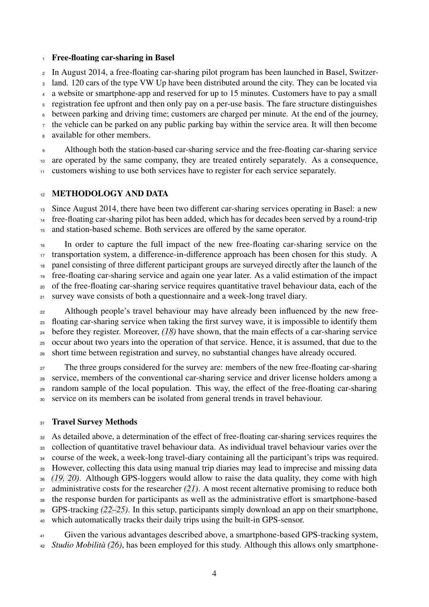### Free-floating car-sharing in Basel

 In August 2014, a free-floating car-sharing pilot program has been launched in Basel, Switzer- land. 120 cars of the type VW Up have been distributed around the city. They can be located via a website or smartphone-app and reserved for up to 15 minutes. Customers have to pay a small registration fee upfront and then only pay on a per-use basis. The fare structure distinguishes between parking and driving time; customers are charged per minute. At the end of the journey, <sup>7</sup> the vehicle can be parked on any public parking bay within the service area. It will then become available for other members.

 Although both the station-based car-sharing service and the free-floating car-sharing service are operated by the same company, they are treated entirely separately. As a consequence, customers wishing to use both services have to register for each service separately.

### 12 METHODOLOGY AND DATA

 Since August 2014, there have been two different car-sharing services operating in Basel: a new free-floating car-sharing pilot has been added, which has for decades been served by a round-trip and station-based scheme. Both services are offered by the same operator.

 In order to capture the full impact of the new free-floating car-sharing service on the transportation system, a difference-in-difference approach has been chosen for this study. A panel consisting of three different participant groups are surveyed directly after the launch of the free-floating car-sharing service and again one year later. As a valid estimation of the impact of the free-floating car-sharing service requires quantitative travel behaviour data, each of the survey wave consists of both a questionnaire and a week-long travel diary.

<sup>22</sup> Although people's travel behaviour may have already been influenced by the new free- floating car-sharing service when taking the first survey wave, it is impossible to identify them before they register. Moreover, *[\(18\)](#page-18-3)* have shown, that the main effects of a car-sharing service occur about two years into the operation of that service. Hence, it is assumed, that due to the short time between registration and survey, no substantial changes have already occured.

<sub>27</sub> The three groups considered for the survey are: members of the new free-floating car-sharing service, members of the conventional car-sharing service and driver license holders among a random sample of the local population. This way, the effect of the free-floating car-sharing service on its members can be isolated from general trends in travel behaviour.

### 31 Travel Survey Methods

 As detailed above, a determination of the effect of free-floating car-sharing services requires the collection of quantitative travel behaviour data. As individual travel behaviour varies over the course of the week, a week-long travel-diary containing all the participant's trips was required. However, collecting this data using manual trip diaries may lead to imprecise and missing data *[\(19,](#page-18-4) [20\)](#page-18-5)*. Although GPS-loggers would allow to raise the data quality, they come with high administrative costs for the researcher *[\(21\)](#page-18-6)*. A most recent alternative promising to reduce both the response burden for participants as well as the administrative effort is smartphone-based GPS-tracking *[\(22–](#page-18-7)[25\)](#page-18-8)*. In this setup, participants simply download an app on their smartphone, which automatically tracks their daily trips using the built-in GPS-sensor.

 Given the various advantages described above, a smartphone-based GPS-tracking system, *Studio Mobilità [\(26\)](#page-18-9)*, has been employed for this study. Although this allows only smartphone-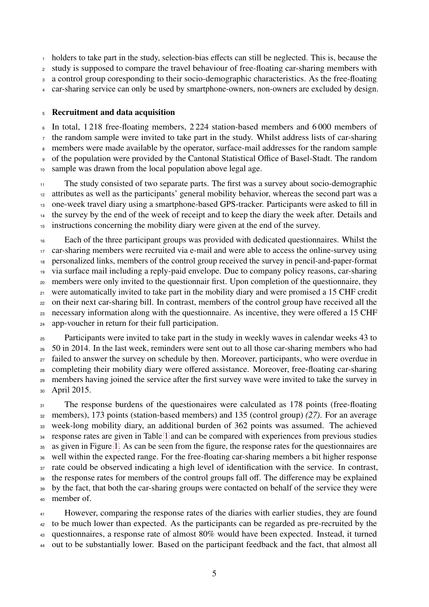holders to take part in the study, selection-bias effects can still be neglected. This is, because the study is supposed to compare the travel behaviour of free-floating car-sharing members with a control group coresponding to their socio-demographic characteristics. As the free-floating

car-sharing service can only be used by smartphone-owners, non-owners are excluded by design.

### Recruitment and data acquisition

 In total, 1 218 free-floating members, 2 224 station-based members and 6 000 members of the random sample were invited to take part in the study. Whilst address lists of car-sharing members were made available by the operator, surface-mail addresses for the random sample of the population were provided by the Cantonal Statistical Office of Basel-Stadt. The random sample was drawn from the local population above legal age.

 The study consisted of two separate parts. The first was a survey about socio-demographic attributes as well as the participants' general mobility behavior, whereas the second part was a one-week travel diary using a smartphone-based GPS-tracker. Participants were asked to fill in the survey by the end of the week of receipt and to keep the diary the week after. Details and instructions concerning the mobility diary were given at the end of the survey.

 Each of the three participant groups was provided with dedicated questionnaires. Whilst the car-sharing members were recruited via e-mail and were able to access the online-survey using personalized links, members of the control group received the survey in pencil-and-paper-format via surface mail including a reply-paid envelope. Due to company policy reasons, car-sharing members were only invited to the questionnair first. Upon completion of the questionnaire, they were automatically invited to take part in the mobility diary and were promised a 15 CHF credit on their next car-sharing bill. In contrast, members of the control group have received all the necessary information along with the questionnaire. As incentive, they were offered a 15 CHF app-voucher in return for their full participation.

 Participants were invited to take part in the study in weekly waves in calendar weeks 43 to 50 in 2014. In the last week, reminders were sent out to all those car-sharing members who had <sup>27</sup> failed to answer the survey on schedule by then. Moreover, participants, who were overdue in completing their mobility diary were offered assistance. Moreover, free-floating car-sharing members having joined the service after the first survey wave were invited to take the survey in April 2015.

<sup>31</sup> The response burdens of the questionaires were calculated as 178 points (free-floating members), 173 points (station-based members) and 135 (control group) *[\(27\)](#page-18-10)*. For an average week-long mobility diary, an additional burden of 362 points was assumed. The achieved <sup>34</sup> response rates are given in Table [1](#page-7-0) and can be compared with experiences from previous studies as given in Figure [1.](#page-8-0) As can be seen from the figure, the response rates for the questionnaires are well within the expected range. For the free-floating car-sharing members a bit higher response 37 rate could be observed indicating a high level of identification with the service. In contrast, the response rates for members of the control groups fall off. The difference may be explained by the fact, that both the car-sharing groups were contacted on behalf of the service they were member of.

 However, comparing the response rates of the diaries with earlier studies, they are found to be much lower than expected. As the participants can be regarded as pre-recruited by the questionnaires, a response rate of almost 80% would have been expected. Instead, it turned out to be substantially lower. Based on the participant feedback and the fact, that almost all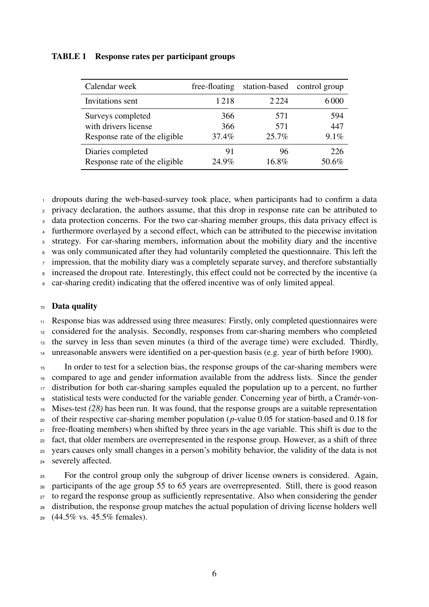### <span id="page-7-0"></span>TABLE 1 Response rates per participant groups

| Calendar week                 | free-floating | station-based | control group |
|-------------------------------|---------------|---------------|---------------|
| Invitations sent              | 1218          | 2 2 2 4       | 6000          |
| Surveys completed             | 366           | 571           | 594           |
| with drivers license          | 366           | 571           | 447           |
| Response rate of the eligible | 37.4%         | 25.7%         | $9.1\%$       |
| Diaries completed             | 91            | 96            | 226           |
| Response rate of the eligible | $24.9\%$      | 16.8%         | 50.6%         |

dropouts during the web-based-survey took place, when participants had to confirm a data

privacy declaration, the authors assume, that this drop in response rate can be attributed to

<sup>3</sup> data protection concerns. For the two car-sharing member groups, this data privacy effect is

furthermore overlayed by a second effect, which can be attributed to the piecewise invitation

strategy. For car-sharing members, information about the mobility diary and the incentive

was only communicated after they had voluntarily completed the questionnaire. This left the

impression, that the mobility diary was a completely separate survey, and therefore substantially

increased the dropout rate. Interestingly, this effect could not be corrected by the incentive (a

car-sharing credit) indicating that the offered incentive was of only limited appeal.

### Data quality

 Response bias was addressed using three measures: Firstly, only completed questionnaires were considered for the analysis. Secondly, responses from car-sharing members who completed the survey in less than seven minutes (a third of the average time) were excluded. Thirdly,

unreasonable answers were identified on a per-question basis (e.g. year of birth before 1900).

<sup>15</sup> In order to test for a selection bias, the response groups of the car-sharing members were compared to age and gender information available from the address lists. Since the gender distribution for both car-sharing samples equaled the population up to a percent, no further statistical tests were conducted for the variable gender. Concerning year of birth, a Cramér-von- Mises-test *[\(28\)](#page-18-11)* has been run. It was found, that the response groups are a suitable representation of their respective car-sharing member population (*p*-value 0.05 for station-based and 0.18 for free-floating members) when shifted by three years in the age variable. This shift is due to the fact, that older members are overrepresented in the response group. However, as a shift of three years causes only small changes in a person's mobility behavior, the validity of the data is not severely affected.

<sup>25</sup> For the control group only the subgroup of driver license owners is considered. Again, participants of the age group 55 to 65 years are overrepresented. Still, there is good reason to regard the response group as sufficiently representative. Also when considering the gender distribution, the response group matches the actual population of driving license holders well (44.5% vs. 45.5% females).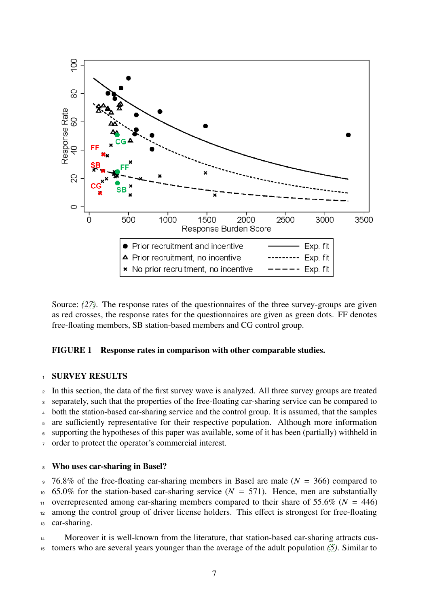<span id="page-8-0"></span>

Source: *[\(27\)](#page-18-10)*. The response rates of the questionnaires of the three survey-groups are given as red crosses, the response rates for the questionnaires are given as green dots. FF denotes free-floating members, SB station-based members and CG control group.

### FIGURE 1 Response rates in comparison with other comparable studies.

### **SURVEY RESULTS**

 In this section, the data of the first survey wave is analyzed. All three survey groups are treated separately, such that the properties of the free-floating car-sharing service can be compared to both the station-based car-sharing service and the control group. It is assumed, that the samples are sufficiently representative for their respective population. Although more information supporting the hypotheses of this paper was available, some of it has been (partially) withheld in order to protect the operator's commercial interest.

## <sup>8</sup> Who uses car-sharing in Basel?

<sup>9</sup> 76.8% of the free-floating car-sharing members in Basel are male (*N* = 366) compared to  $10\,$  65.0% for the station-based car-sharing service  $(N = 571)$ . Hence, men are substantially 11 overrepresented among car-sharing members compared to their share of 55.6% ( $N = 446$ ) <sup>12</sup> among the control group of driver license holders. This effect is strongest for free-floating <sup>13</sup> car-sharing.

14 Moreover it is well-known from the literature, that station-based car-sharing attracts cus-<sup>15</sup> tomers who are several years younger than the average of the adult population *[\(5\)](#page-17-4)*. Similar to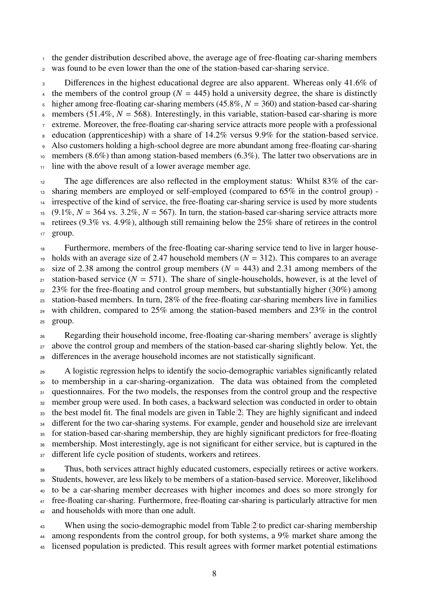<sup>1</sup> the gender distribution described above, the average age of free-floating car-sharing members

<sup>2</sup> was found to be even lower than the one of the station-based car-sharing service.

<sup>3</sup> Differences in the highest educational degree are also apparent. Whereas only 41.6% of <sup>4</sup> the members of the control group ( $N = 445$ ) hold a university degree, the share is distinctly  $\frac{1}{2}$  higher among free-floating car-sharing members (45.8%,  $N = 360$ ) and station-based car-sharing  $\epsilon$  members (51.4%,  $N = 568$ ). Interestingly, in this variable, station-based car-sharing is more <sup>7</sup> extreme. Moreover, the free-floating car-sharing service attracts more people with a professional <sup>8</sup> education (apprenticeship) with a share of 14.2% versus 9.9% for the station-based service. <sup>9</sup> Also customers holding a high-school degree are more abundant among free-floating car-sharing <sup>10</sup> members (8.6%) than among station-based members (6.3%). The latter two observations are in <sup>11</sup> line with the above result of a lower average member age. <sup>12</sup> The age differences are also reflected in the employment status: Whilst 83% of the car-<sup>13</sup> sharing members are employed or self-employed (compared to 65% in the control group) - <sup>14</sup> irrespective of the kind of service, the free-floating car-sharing service is used by more students

15 (9.1%,  $N = 364$  vs.  $3.2\%$ ,  $N = 567$ ). In turn, the station-based car-sharing service attracts more <sup>16</sup> retirees (9.3% vs. 4.9%), although still remaining below the 25% share of retirees in the control <sup>17</sup> group.

<sup>18</sup> Furthermore, members of the free-floating car-sharing service tend to live in larger house-19 holds with an average size of 2.47 household members  $(N = 312)$ . This compares to an average <sup>20</sup> size of 2.38 among the control group members ( $N = 443$ ) and 2.31 among members of the <sup>21</sup> station-based service ( $N = 571$ ). The share of single-households, however, is at the level of <sup>22</sup> 23% for the free-floating and control group members, but substantially higher (30%) among <sup>23</sup> station-based members. In turn, 28% of the free-floating car-sharing members live in families <sup>24</sup> with children, compared to 25% among the station-based members and 23% in the control <sup>25</sup> group.

<sup>26</sup> Regarding their household income, free-floating car-sharing members' average is slightly <sup>27</sup> above the control group and members of the station-based car-sharing slightly below. Yet, the <sup>28</sup> differences in the average household incomes are not statistically significant.

<sup>29</sup> A logistic regression helps to identify the socio-demographic variables significantly related <sup>30</sup> to membership in a car-sharing-organization. The data was obtained from the completed 31 questionnaires. For the two models, the responses from the control group and the respective <sup>32</sup> member group were used. In both cases, a backward selection was conducted in order to obtain <sup>33</sup> the best model fit. The final models are given in Table [2.](#page-10-0) They are highly significant and indeed 34 different for the two car-sharing systems. For example, gender and household size are irrelevant <sup>35</sup> for station-based car-sharing membership, they are highly significant predictors for free-floating <sup>36</sup> membership. Most interestingly, age is not significant for either service, but is captured in the 37 different life cycle position of students, workers and retirees.

 Thus, both services attract highly educated customers, especially retirees or active workers. Students, however, are less likely to be members of a station-based service. Moreover, likelihood to be a car-sharing member decreases with higher incomes and does so more strongly for free-floating car-sharing. Furthermore, free-floating car-sharing is particularly attractive for men 42 and households with more than one adult.

<sup>43</sup> When using the socio-demographic model from Table [2](#page-10-0) to predict car-sharing membership 44 among respondents from the control group, for both systems, a 9% market share among the <sup>45</sup> licensed population is predicted. This result agrees with former market potential estimations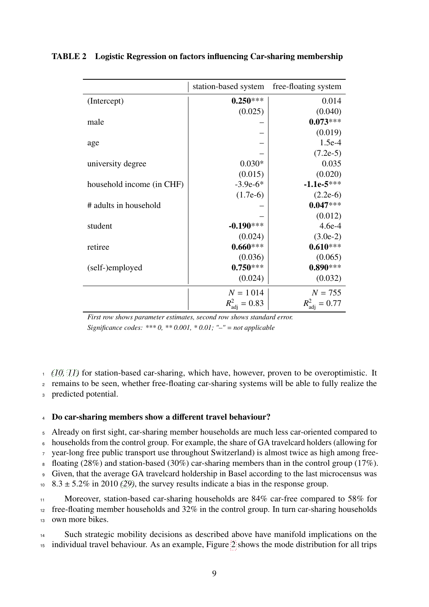|                           | station-based system             | free-floating system      |
|---------------------------|----------------------------------|---------------------------|
| (Intercept)               | $0.250***$                       | 0.014                     |
|                           | (0.025)                          | (0.040)                   |
| male                      |                                  | $0.073***$                |
|                           |                                  | (0.019)                   |
| age                       |                                  | $1.5e-4$                  |
|                           |                                  | $(7.2e-5)$                |
| university degree         | $0.030*$                         | 0.035                     |
|                           | (0.015)                          | (0.020)                   |
| household income (in CHF) | $-3.9e-6*$                       | $-1.1e-5***$              |
|                           | $(1.7e-6)$                       | $(2.2e-6)$                |
| # adults in household     |                                  | $0.047***$                |
|                           |                                  | (0.012)                   |
| student                   | $-0.190***$                      | $4.6e-4$                  |
|                           | (0.024)                          | $(3.0e-2)$                |
| retiree                   | $0.660***$                       | $0.610***$                |
|                           | (0.036)                          | (0.065)                   |
| (self-)employed           | $0.750***$                       | $0.890***$                |
|                           | (0.024)                          | (0.032)                   |
|                           | $N = 1014$                       | $N = 755$                 |
|                           | $R^2_{\mathrm{adj}}$<br>$= 0.83$ | $R_{\text{adi}}^2 = 0.77$ |

### <span id="page-10-0"></span>TABLE 2 Logistic Regression on factors influencing Car-sharing membership

*First row shows parameter estimates, second row shows standard error. Significance codes: \*\*\* 0, \*\* 0.001, \* 0.01; "–"* = *not applicable*

<sup>1</sup> *[\(10,](#page-17-9) [11\)](#page-17-10)* for station-based car-sharing, which have, however, proven to be overoptimistic. It

<sup>2</sup> remains to be seen, whether free-floating car-sharing systems will be able to fully realize the

<sup>3</sup> predicted potential.

### <sup>4</sup> Do car-sharing members show a different travel behaviour?

<sup>5</sup> Already on first sight, car-sharing member households are much less car-oriented compared to

<sup>6</sup> households from the control group. For example, the share of GA travelcard holders (allowing for

<sup>7</sup> year-long free public transport use throughout Switzerland) is almost twice as high among free-

8 floating (28%) and station-based (30%) car-sharing members than in the control group (17%).

<sup>9</sup> Given, that the average GA travelcard holdership in Basel according to the last microcensus was

 $10\quad 8.3 \pm 5.2\%$  in 2010 *[\(29\)](#page-18-12)*, the survey results indicate a bias in the response group.

11 Moreover, station-based car-sharing households are 84% car-free compared to 58% for <sup>12</sup> free-floating member households and 32% in the control group. In turn car-sharing households

<sup>13</sup> own more bikes.

<sup>14</sup> Such strategic mobility decisions as described above have manifold implications on the <sup>15</sup> individual travel behaviour. As an example, Figure [2](#page-11-0) shows the mode distribution for all trips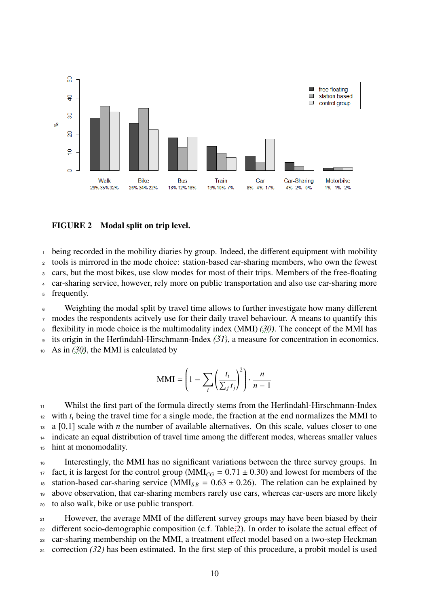<span id="page-11-0"></span>

### FIGURE 2 Modal split on trip level.

being recorded in the mobility diaries by group. Indeed, the different equipment with mobility

<sup>2</sup> tools is mirrored in the mode choice: station-based car-sharing members, who own the fewest

<sup>3</sup> cars, but the most bikes, use slow modes for most of their trips. Members of the free-floating

<sup>4</sup> car-sharing service, however, rely more on public transportation and also use car-sharing more

<sup>5</sup> frequently.

<sup>6</sup> Weighting the modal split by travel time allows to further investigate how many different  $\tau$  modes the respondents acitvely use for their daily travel behaviour. A means to quantify this

<sup>8</sup> flexibility in mode choice is the multimodality index (MMI) *[\(30\)](#page-19-0)*. The concept of the MMI has

<sup>9</sup> its origin in the Herfindahl-Hirschmann-Index *[\(31\)](#page-19-1)*, a measure for concentration in economics.

<sup>10</sup> As in *[\(30\)](#page-19-0)*, the MMI is calculated by

$$
\text{MMI} = \left(1 - \sum_{i} \left(\frac{t_i}{\sum_j t_j}\right)^2\right) \cdot \frac{n}{n-1}
$$

<sup>11</sup> Whilst the first part of the formula directly stems from the Herfindahl-Hirschmann-Index  $\mu$ <sup>2</sup> with  $t_i$  being the travel time for a single mode, the fraction at the end normalizes the MMI to  $13 \text{ a } [0,1]$  scale with *n* the number of available alternatives. On this scale, values closer to one <sup>14</sup> indicate an equal distribution of travel time among the different modes, whereas smaller values <sup>15</sup> hint at monomodality.

<sup>16</sup> Interestingly, the MMI has no significant variations between the three survey groups. In 17 fact, it is largest for the control group ( $MMI_{CG} = 0.71 \pm 0.30$ ) and lowest for members of the station-based car-sharing service ( $MMI_{SR} = 0.63 \pm 0.26$ ). The relation can be explained by <sup>18</sup> station-based car-sharing service ( $MMI_{SB} = 0.63 \pm 0.26$ ). The relation can be explained by<br><sup>19</sup> above observation, that car-sharing members rarely use cars, whereas car-users are more likely above observation, that car-sharing members rarely use cars, whereas car-users are more likely <sup>20</sup> to also walk, bike or use public transport.

<sup>21</sup> However, the average MMI of the different survey groups may have been biased by their <sup>22</sup> different socio-demographic composition (c.f. Table [2\)](#page-10-0). In order to isolate the actual effect of <sup>23</sup> car-sharing membership on the MMI, a treatment effect model based on a two-step Heckman <sup>24</sup> correction *[\(32\)](#page-19-2)* has been estimated. In the first step of this procedure, a probit model is used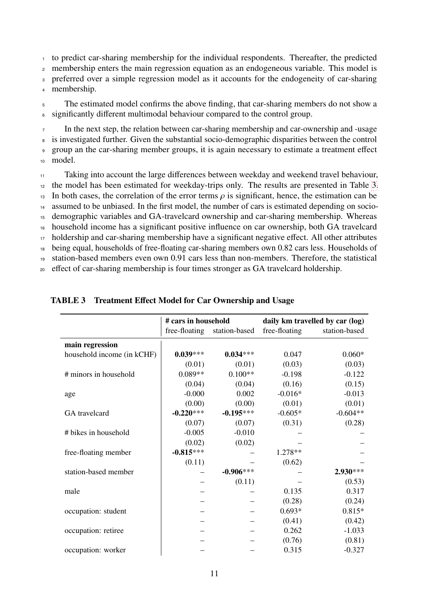to predict car-sharing membership for the individual respondents. Thereafter, the predicted membership enters the main regression equation as an endogeneous variable. This model is preferred over a simple regression model as it accounts for the endogeneity of car-sharing membership.

<sup>5</sup> The estimated model confirms the above finding, that car-sharing members do not show a <sup>6</sup> significantly different multimodal behaviour compared to the control group.

 In the next step, the relation between car-sharing membership and car-ownership and -usage is investigated further. Given the substantial socio-demographic disparities between the control group an the car-sharing member groups, it is again necessary to estimate a treatment effect <sup>10</sup> model.

 Taking into account the large differences between weekday and weekend travel behaviour, <sup>12</sup> the model has been estimated for weekday-trips only. The results are presented in Table [3.](#page-12-0) 13 In both cases, the correlation of the error terms  $\rho$  is significant, hence, the estimation can be assumed to be unbiased. In the first model, the number of cars is estimated depending on socioassumed to be unbiased. In the first model, the number of cars is estimated depending on socio- demographic variables and GA-travelcard ownership and car-sharing membership. Whereas household income has a significant positive influence on car ownership, both GA travelcard holdership and car-sharing membership have a significant negative effect. All other attributes being equal, households of free-floating car-sharing members own 0.82 cars less. Households of station-based members even own 0.91 cars less than non-members. Therefore, the statistical effect of car-sharing membership is four times stronger as GA travelcard holdership.

|                            | # cars in household |               | daily km travelled by car (log) |               |
|----------------------------|---------------------|---------------|---------------------------------|---------------|
|                            | free-floating       | station-based | free-floating                   | station-based |
| main regression            |                     |               |                                 |               |
| household income (in kCHF) | $0.039***$          | $0.034***$    | 0.047                           | $0.060*$      |
|                            | (0.01)              | (0.01)        | (0.03)                          | (0.03)        |
| # minors in household      | $0.089**$           | $0.100**$     | $-0.198$                        | $-0.122$      |
|                            | (0.04)              | (0.04)        | (0.16)                          | (0.15)        |
| age                        | $-0.000$            | 0.002         | $-0.016*$                       | $-0.013$      |
|                            | (0.00)              | (0.00)        | (0.01)                          | (0.01)        |
| GA travelcard              | $-0.220***$         | $-0.195***$   | $-0.605*$                       | $-0.604**$    |
|                            | (0.07)              | (0.07)        | (0.31)                          | (0.28)        |
| # bikes in household       | $-0.005$            | $-0.010$      |                                 |               |
|                            | (0.02)              | (0.02)        |                                 |               |
| free-floating member       | $-0.815***$         |               | 1.278**                         |               |
|                            | (0.11)              |               | (0.62)                          |               |
| station-based member       |                     | $-0.906***$   |                                 | 2.930***      |
|                            |                     | (0.11)        |                                 | (0.53)        |
| male                       |                     |               | 0.135                           | 0.317         |
|                            |                     |               | (0.28)                          | (0.24)        |
| occupation: student        |                     |               | $0.693*$                        | $0.815*$      |
|                            |                     |               | (0.41)                          | (0.42)        |
| occupation: retiree        |                     |               | 0.262                           | $-1.033$      |
|                            |                     |               | (0.76)                          | (0.81)        |
| occupation: worker         |                     |               | 0.315                           | $-0.327$      |

### <span id="page-12-0"></span>TABLE 3 Treatment Effect Model for Car Ownership and Usage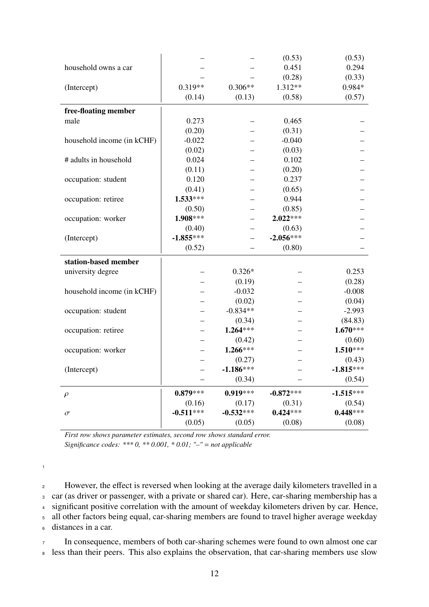|                            |             |             | (0.53)      | (0.53)      |
|----------------------------|-------------|-------------|-------------|-------------|
| household owns a car       |             |             | 0.451       | 0.294       |
|                            |             |             | (0.28)      | (0.33)      |
| (Intercept)                | $0.319**$   | $0.306**$   | $1.312**$   | 0.984*      |
|                            | (0.14)      | (0.13)      | (0.58)      | (0.57)      |
| free-floating member       |             |             |             |             |
| male                       | 0.273       |             | 0.465       |             |
|                            | (0.20)      |             | (0.31)      |             |
| household income (in kCHF) | $-0.022$    |             | $-0.040$    |             |
|                            | (0.02)      |             | (0.03)      |             |
| # adults in household      | 0.024       |             | 0.102       |             |
|                            | (0.11)      |             | (0.20)      |             |
| occupation: student        | 0.120       |             | 0.237       |             |
|                            | (0.41)      |             | (0.65)      |             |
| occupation: retiree        | $1.533***$  |             | 0.944       |             |
|                            | (0.50)      |             | (0.85)      |             |
| occupation: worker         | $1.908***$  |             | $2.022***$  |             |
|                            | (0.40)      |             | (0.63)      |             |
| (Intercept)                | $-1.855***$ |             | $-2.056***$ |             |
|                            | (0.52)      |             | (0.80)      |             |
| station-based member       |             |             |             |             |
| university degree          |             | $0.326*$    |             | 0.253       |
|                            |             | (0.19)      |             | (0.28)      |
| household income (in kCHF) |             | $-0.032$    |             | $-0.008$    |
|                            |             | (0.02)      |             | (0.04)      |
| occupation: student        |             | $-0.834**$  |             | $-2.993$    |
|                            |             | (0.34)      |             | (84.83)     |
| occupation: retiree        |             | $1.264***$  |             | $1.670***$  |
|                            |             | (0.42)      |             | (0.60)      |
| occupation: worker         |             | $1.266***$  |             | $1.510***$  |
|                            |             | (0.27)      |             | (0.43)      |
| (Intercept)                |             | $-1.186***$ |             | $-1.815***$ |
|                            |             | (0.34)      |             | (0.54)      |
| $\rho$                     | $0.879***$  | $0.919***$  | $-0.872***$ | $-1.515***$ |
|                            | (0.16)      | (0.17)      | (0.31)      | (0.54)      |
| $\sigma$                   |             |             | $0.424***$  | $0.448***$  |
|                            | $-0.511***$ | $-0.532***$ |             |             |

*First row shows parameter estimates, second row shows standard error. Significance codes: \*\*\* 0, \*\* 0.001, \* 0.01; "–"* = *not applicable*

1

<sup>2</sup> However, the effect is reversed when looking at the average daily kilometers travelled in a car (as driver or passenger, with a private or shared car). Here, car-sharing membership has a significant positive correlation with the amount of weekday kilometers driven by car. Hence, all other factors being equal, car-sharing members are found to travel higher average weekday distances in a car.

<sup>7</sup> In consequence, members of both car-sharing schemes were found to own almost one car 8 less than their peers. This also explains the observation, that car-sharing members use slow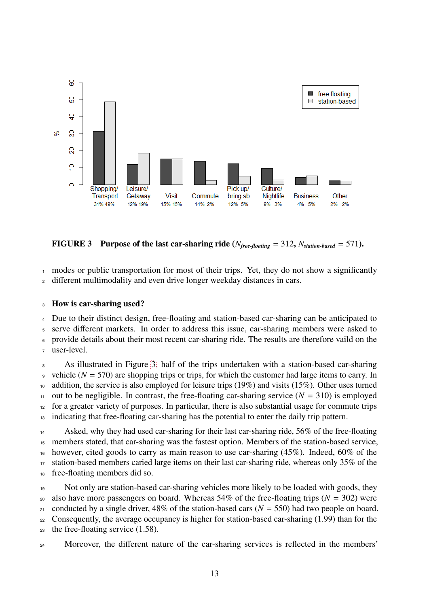<span id="page-14-0"></span>

FIGURE 3 Purpose of the last car-sharing ride ( $N_{free\text{-}floating} = 312$ ,  $N_{station\text{-}based} = 571$ ).

<sup>1</sup> modes or public transportation for most of their trips. Yet, they do not show a significantly <sup>2</sup> different multimodality and even drive longer weekday distances in cars.

### <sup>3</sup> How is car-sharing used?

 Due to their distinct design, free-floating and station-based car-sharing can be anticipated to serve different markets. In order to address this issue, car-sharing members were asked to provide details about their most recent car-sharing ride. The results are therefore vaild on the user-level.

<sup>8</sup> As illustrated in Figure [3,](#page-14-0) half of the trips undertaken with a station-based car-sharing 9 vehicle  $(N = 570)$  are shopping trips or trips, for which the customer had large items to carry. In <sup>10</sup> addition, the service is also employed for leisure trips (19%) and visits (15%). Other uses turned 11 out to be negligible. In contrast, the free-floating car-sharing service  $(N = 310)$  is employed <sup>12</sup> for a greater variety of purposes. In particular, there is also substantial usage for commute trips <sup>13</sup> indicating that free-floating car-sharing has the potential to enter the daily trip pattern.

14 Asked, why they had used car-sharing for their last car-sharing ride, 56% of the free-floating <sup>15</sup> members stated, that car-sharing was the fastest option. Members of the station-based service, <sup>16</sup> however, cited goods to carry as main reason to use car-sharing  $(45\%)$ . Indeed,  $60\%$  of the 17 station-based members caried large items on their last car-sharing ride, whereas only 35% of the <sup>18</sup> free-floating members did so.

<sup>19</sup> Not only are station-based car-sharing vehicles more likely to be loaded with goods, they 20 also have more passengers on board. Whereas  $54\%$  of the free-floating trips ( $N = 302$ ) were 21 conducted by a single driver,  $48\%$  of the station-based cars ( $N = 550$ ) had two people on board. <sup>22</sup> Consequently, the average occupancy is higher for station-based car-sharing (1.99) than for the <sup>23</sup> the free-floating service (1.58).

24 Moreover, the different nature of the car-sharing services is reflected in the members'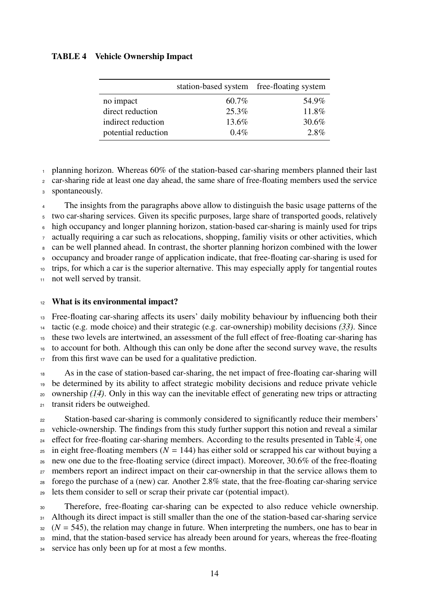### <span id="page-15-0"></span>TABLE 4 Vehicle Ownership Impact

|                     | station-based system free-floating system |       |
|---------------------|-------------------------------------------|-------|
| no impact           | 60.7%                                     | 54.9% |
| direct reduction    | 25.3%                                     | 11.8% |
| indirect reduction  | 13.6%                                     | 30.6% |
| potential reduction | $0.4\%$                                   | 2.8%  |

 $\frac{1}{1}$  planning horizon. Whereas 60% of the station-based car-sharing members planned their last

car-sharing ride at least one day ahead, the same share of free-floating members used the service

spontaneously.

 The insights from the paragraphs above allow to distinguish the basic usage patterns of the two car-sharing services. Given its specific purposes, large share of transported goods, relatively high occupancy and longer planning horizon, station-based car-sharing is mainly used for trips actually requiring a car such as relocations, shopping, familiy visits or other activities, which can be well planned ahead. In contrast, the shorter planning horizon combined with the lower occupancy and broader range of application indicate, that free-floating car-sharing is used for trips, for which a car is the superior alternative. This may especially apply for tangential routes

11 not well served by transit.

### 12 What is its environmental impact?

 Free-floating car-sharing affects its users' daily mobility behaviour by influencing both their tactic (e.g. mode choice) and their strategic (e.g. car-ownership) mobility decisions *[\(33\)](#page-19-3)*. Since these two levels are intertwined, an assessment of the full effect of free-floating car-sharing has to account for both. Although this can only be done after the second survey wave, the results from this first wave can be used for a qualitative prediction.

 As in the case of station-based car-sharing, the net impact of free-floating car-sharing will be determined by its ability to affect strategic mobility decisions and reduce private vehicle ownership *[\(14\)](#page-17-13)*. Only in this way can the inevitable effect of generating new trips or attracting transit riders be outweighed.

<sup>22</sup> Station-based car-sharing is commonly considered to significantly reduce their members' vehicle-ownership. The findings from this study further support this notion and reveal a similar <sup>24</sup> effect for free-floating car-sharing members. According to the results presented in Table [4,](#page-15-0) one in eight free-floating members ( $N = 144$ ) has either sold or scrapped his car without buying a new one due to the free-floating service (direct impact). Moreover, 30.6% of the free-floating <sup>27</sup> members report an indirect impact on their car-ownership in that the service allows them to forego the purchase of a (new) car. Another 2.8% state, that the free-floating car-sharing service lets them consider to sell or scrap their private car (potential impact).

 Therefore, free-floating car-sharing can be expected to also reduce vehicle ownership. 31 Although its direct impact is still smaller than the one of the station-based car-sharing service  $32 \left(N = 545\right)$ , the relation may change in future. When interpreting the numbers, one has to bear in mind, that the station-based service has already been around for years, whereas the free-floating service has only been up for at most a few months.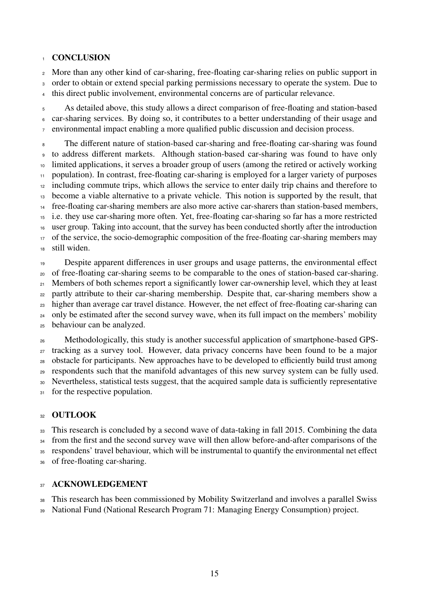### **CONCLUSION**

More than any other kind of car-sharing, free-floating car-sharing relies on public support in

order to obtain or extend special parking permissions necessary to operate the system. Due to

this direct public involvement, environmental concerns are of particular relevance.

 As detailed above, this study allows a direct comparison of free-floating and station-based car-sharing services. By doing so, it contributes to a better understanding of their usage and environmental impact enabling a more qualified public discussion and decision process.

 The different nature of station-based car-sharing and free-floating car-sharing was found to address different markets. Although station-based car-sharing was found to have only limited applications, it serves a broader group of users (among the retired or actively working population). In contrast, free-floating car-sharing is employed for a larger variety of purposes <sup>12</sup> including commute trips, which allows the service to enter daily trip chains and therefore to become a viable alternative to a private vehicle. This notion is supported by the result, that free-floating car-sharing members are also more active car-sharers than station-based members, i.e. they use car-sharing more often. Yet, free-floating car-sharing so far has a more restricted user group. Taking into account, that the survey has been conducted shortly after the introduction <sup>17</sup> of the service, the socio-demographic composition of the free-floating car-sharing members may still widen.

 Despite apparent differences in user groups and usage patterns, the environmental effect of free-floating car-sharing seems to be comparable to the ones of station-based car-sharing. Members of both schemes report a significantly lower car-ownership level, which they at least <sup>22</sup> partly attribute to their car-sharing membership. Despite that, car-sharing members show a higher than average car travel distance. However, the net effect of free-floating car-sharing can <sup>24</sup> only be estimated after the second survey wave, when its full impact on the members' mobility behaviour can be analyzed.

 Methodologically, this study is another successful application of smartphone-based GPS- tracking as a survey tool. However, data privacy concerns have been found to be a major obstacle for participants. New approaches have to be developed to efficiently build trust among respondents such that the manifold advantages of this new survey system can be fully used. Nevertheless, statistical tests suggest, that the acquired sample data is sufficiently representative 31 for the respective population.

### 32 OUTLOOK

This research is concluded by a second wave of data-taking in fall 2015. Combining the data

<sup>34</sup> from the first and the second survey wave will then allow before-and-after comparisons of the

respondens' travel behaviour, which will be instrumental to quantify the environmental net effect

of free-floating car-sharing.

### 37 ACKNOWLEDGEMENT

This research has been commissioned by Mobility Switzerland and involves a parallel Swiss

National Fund (National Research Program 71: Managing Energy Consumption) project.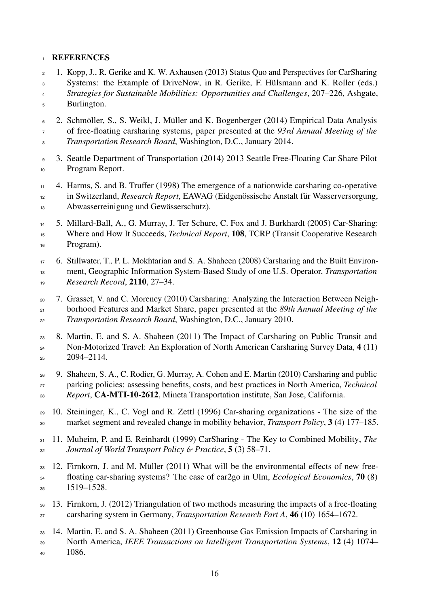### **REFERENCES**

- <span id="page-17-0"></span> 1. Kopp, J., R. Gerike and K. W. Axhausen (2013) Status Quo and Perspectives for CarSharing Systems: the Example of DriveNow, in R. Gerike, F. Hülsmann and K. Roller (eds.)
- *Strategies for Sustainable Mobilities: Opportunities and Challenges*, 207–226, Ashgate, Burlington.
- <span id="page-17-1"></span> 2. Schmöller, S., S. Weikl, J. Müller and K. Bogenberger (2014) Empirical Data Analysis of free-floating carsharing systems, paper presented at the *93rd Annual Meeting of the Transportation Research Board*, Washington, D.C., January 2014.
- <span id="page-17-2"></span> 3. Seattle Department of Transportation (2014) 2013 Seattle Free-Floating Car Share Pilot Program Report.
- <span id="page-17-3"></span> 4. Harms, S. and B. Truffer (1998) The emergence of a nationwide carsharing co-operative in Switzerland, *Research Report*, EAWAG (Eidgenössische Anstalt für Wasserversorgung, Abwasserreinigung und Gewässerschutz).
- <span id="page-17-4"></span> 5. Millard-Ball, A., G. Murray, J. Ter Schure, C. Fox and J. Burkhardt (2005) Car-Sharing: Where and How It Succeeds, *Technical Report*, 108, TCRP (Transit Cooperative Research Program).
- <span id="page-17-5"></span> 6. Stillwater, T., P. L. Mokhtarian and S. A. Shaheen (2008) Carsharing and the Built Environ- ment, Geographic Information System-Based Study of one U.S. Operator, *Transportation Research Record*, 2110, 27–34.
- <span id="page-17-6"></span> 7. Grasset, V. and C. Morency (2010) Carsharing: Analyzing the Interaction Between Neigh- borhood Features and Market Share, paper presented at the *89th Annual Meeting of the Transportation Research Board*, Washington, D.C., January 2010.
- <span id="page-17-7"></span> 8. Martin, E. and S. A. Shaheen (2011) The Impact of Carsharing on Public Transit and <sup>24</sup> Non-Motorized Travel: An Exploration of North American Carsharing Survey Data, 4 (11)  $2094 - 2114$ .
- <span id="page-17-8"></span> 9. Shaheen, S. A., C. Rodier, G. Murray, A. Cohen and E. Martin (2010) Carsharing and public parking policies: assessing benefits, costs, and best practices in North America, *Technical Report*, CA-MTI-10-2612, Mineta Transportation institute, San Jose, California.
- <span id="page-17-9"></span> 10. Steininger, K., C. Vogl and R. Zettl (1996) Car-sharing organizations - The size of the market segment and revealed change in mobility behavior, *Transport Policy*, 3 (4) 177–185.
- <span id="page-17-10"></span> 11. Muheim, P. and E. Reinhardt (1999) CarSharing - The Key to Combined Mobility, *The Journal of World Transport Policy* & *Practice*, 5 (3) 58–71.
- <span id="page-17-11"></span> 12. Firnkorn, J. and M. Müller (2011) What will be the environmental effects of new free- floating car-sharing systems? The case of car2go in Ulm, *Ecological Economics*, 70 (8) 1519–1528.
- <span id="page-17-12"></span> 13. Firnkorn, J. (2012) Triangulation of two methods measuring the impacts of a free-floating carsharing system in Germany, *Transportation Research Part A*, 46 (10) 1654–1672.
- <span id="page-17-13"></span> 14. Martin, E. and S. A. Shaheen (2011) Greenhouse Gas Emission Impacts of Carsharing in North America, *IEEE Transactions on Intelligent Transportation Systems*, 12 (4) 1074– 1086.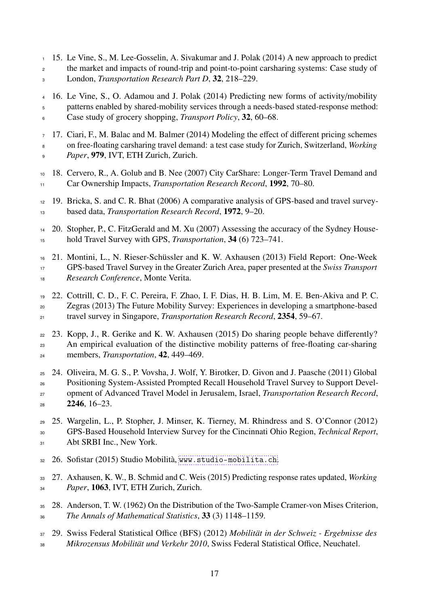- <span id="page-18-0"></span> 15. Le Vine, S., M. Lee-Gosselin, A. Sivakumar and J. Polak (2014) A new approach to predict <sup>2</sup> the market and impacts of round-trip and point-to-point carsharing systems: Case study of London, *Transportation Research Part D*, 32, 218–229.
- <span id="page-18-1"></span> 16. Le Vine, S., O. Adamou and J. Polak (2014) Predicting new forms of activity/mobility patterns enabled by shared-mobility services through a needs-based stated-response method: Case study of grocery shopping, *Transport Policy*, 32, 60–68.
- <span id="page-18-2"></span> 17. Ciari, F., M. Balac and M. Balmer (2014) Modeling the effect of different pricing schemes on free-floating carsharing travel demand: a test case study for Zurich, Switzerland, *Working Paper*, 979, IVT, ETH Zurich, Zurich.
- <span id="page-18-3"></span> 18. Cervero, R., A. Golub and B. Nee (2007) City CarShare: Longer-Term Travel Demand and Car Ownership Impacts, *Transportation Research Record*, 1992, 70–80.
- <span id="page-18-4"></span> 19. Bricka, S. and C. R. Bhat (2006) A comparative analysis of GPS-based and travel survey-based data, *Transportation Research Record*, 1972, 9–20.
- <span id="page-18-5"></span> 20. Stopher, P., C. FitzGerald and M. Xu (2007) Assessing the accuracy of the Sydney House-hold Travel Survey with GPS, *Transportation*, 34 (6) 723–741.
- <span id="page-18-6"></span> 21. Montini, L., N. Rieser-Schüssler and K. W. Axhausen (2013) Field Report: One-Week GPS-based Travel Survey in the Greater Zurich Area, paper presented at the *Swiss Transport Research Conference*, Monte Verita.
- <span id="page-18-7"></span> 22. Cottrill, C. D., F. C. Pereira, F. Zhao, I. F. Dias, H. B. Lim, M. E. Ben-Akiva and P. C. Zegras (2013) The Future Mobility Survey: Experiences in developing a smartphone-based travel survey in Singapore, *Transportation Research Record*, 2354, 59–67.
- 23. Kopp, J., R. Gerike and K. W. Axhausen (2015) Do sharing people behave differently? An empirical evaluation of the distinctive mobility patterns of free-floating car-sharing members, *Transportation*, 42, 449–469.
- 24. Oliveira, M. G. S., P. Vovsha, J. Wolf, Y. Birotker, D. Givon and J. Paasche (2011) Global Positioning System-Assisted Prompted Recall Household Travel Survey to Support Devel- opment of Advanced Travel Model in Jerusalem, Israel, *Transportation Research Record*,  $2246, 16-23.$
- <span id="page-18-8"></span> 25. Wargelin, L., P. Stopher, J. Minser, K. Tierney, M. Rhindress and S. O'Connor (2012) GPS-Based Household Interview Survey for the Cincinnati Ohio Region, *Technical Report*, 31 Abt SRBI Inc., New York.
- <span id="page-18-9"></span>26. Sofistar (2015) Studio Mobilità, <www.studio-mobilita.ch>.
- <span id="page-18-10"></span> 27. Axhausen, K. W., B. Schmid and C. Weis (2015) Predicting response rates updated, *Working Paper*, 1063, IVT, ETH Zurich, Zurich.
- <span id="page-18-11"></span> 28. Anderson, T. W. (1962) On the Distribution of the Two-Sample Cramer-von Mises Criterion, *The Annals of Mathematical Statistics*, 33 (3) 1148–1159.
- <span id="page-18-12"></span> 29. Swiss Federal Statistical Office (BFS) (2012) *Mobilität in der Schweiz - Ergebnisse des Mikrozensus Mobilität und Verkehr 2010*, Swiss Federal Statistical Office, Neuchatel.